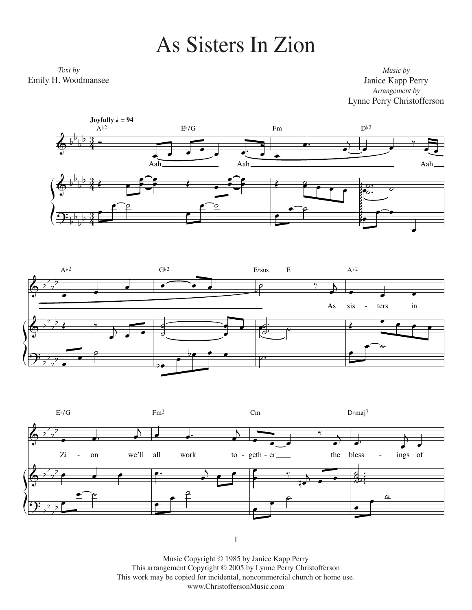## As Sisters In Zion As Sisters In Zion

 $T_{\text{N}}$ Emily H. Woodmansee Emily H. Woodmansee Text by

*Music by* Janice Kapp Perry Janice Kapp Perry *Arrangement by* Arrangement by Lynne Perry Christofferson Lynne Perry Christofferson Music by







1

This work may be copied for incidental, noncommercial church or home use. www.ChristoffersonMusic.com Music Copyright © 1985 by Janice Kapp Perry This arrangement copyright © 2005 by Lynne Perry Christofferson This arrangement Copyright © 2005 by Lynne Perry Christofferson Music Copyright © 1985 by Janice Kapp Perry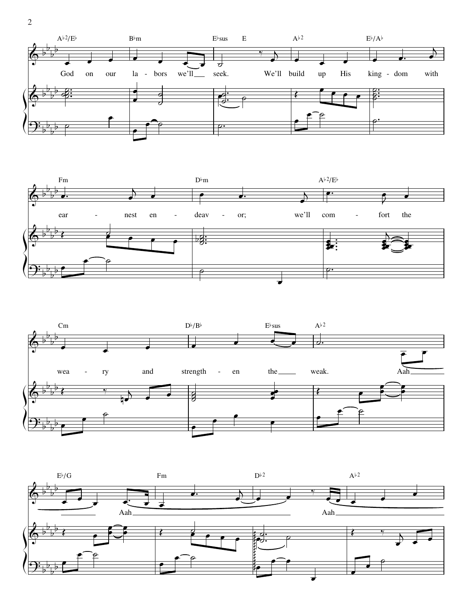





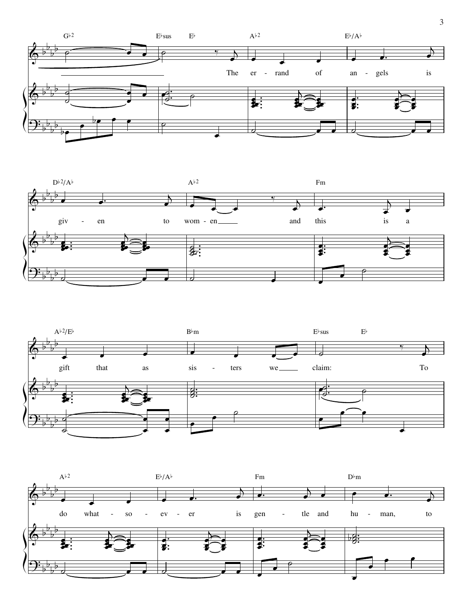





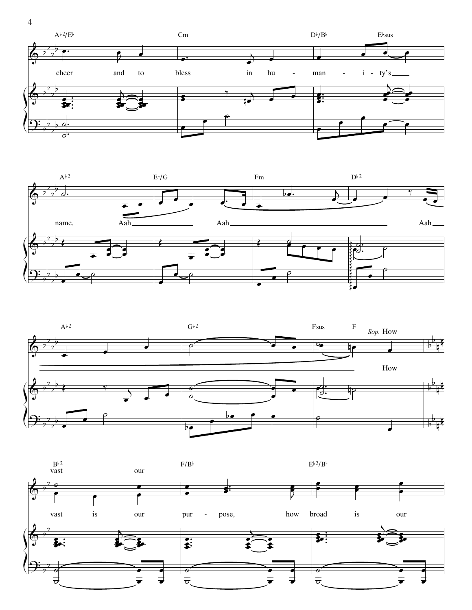







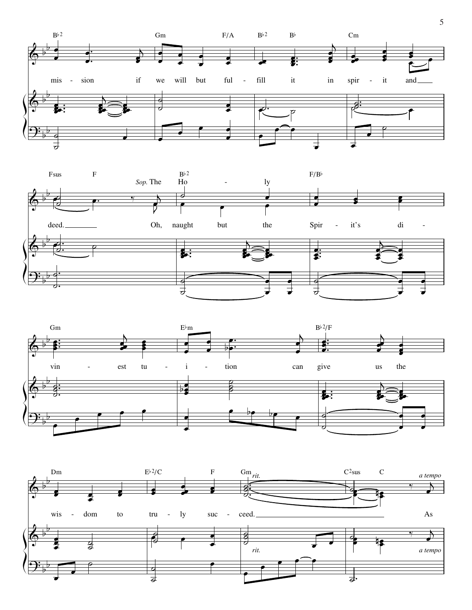